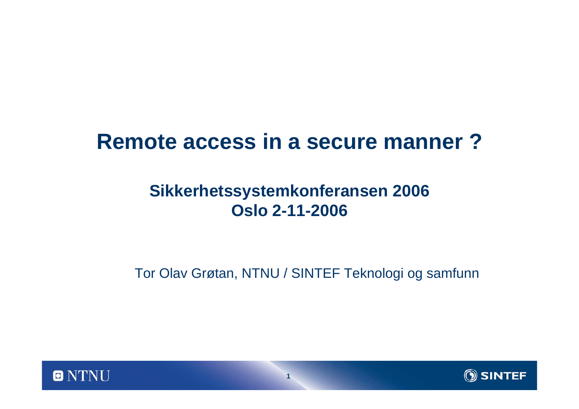### **Remote access in a secure manner ?**

#### **Sikkerhetssystemkonferansen 2006 Oslo 2-11-2006**

Tor Olav Grøtan, NTNU / SINTEF Teknologi og samfunn



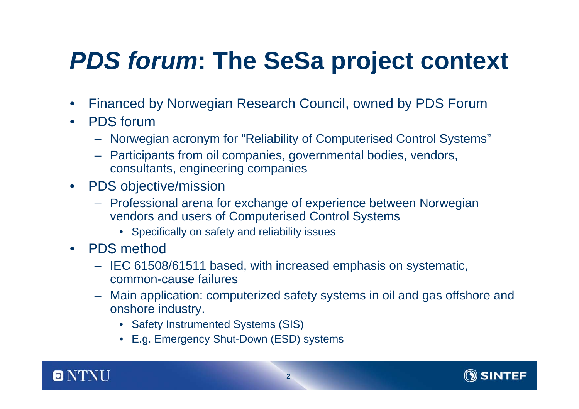# *PDS forum***: The SeSa project context**

- $\bullet$ Financed by Norwegian Research Council, owned by PDS Forum
- $\bullet$  PDS forum
	- Norwegian acronym for "Reliability of Computerised Control Systems"
	- Participants from oil companies, governmental bodies, vendors, consultants, engineering companies
- $\bullet$  PDS objective/mission
	- Professional arena for exchange of experience between Norwegian vendors and users of Computerised Control Systems
		- Specifically on safety and reliability issues
- • PDS method
	- IEC 61508/61511 based, with increased emphasis on systematic, common-cause failures
	- – Main application: computerized safety systems in oil and gas offshore and onshore industry.
		- Safety Instrumented Systems (SIS)
		- E.g. Emergency Shut-Down (ESD) systems



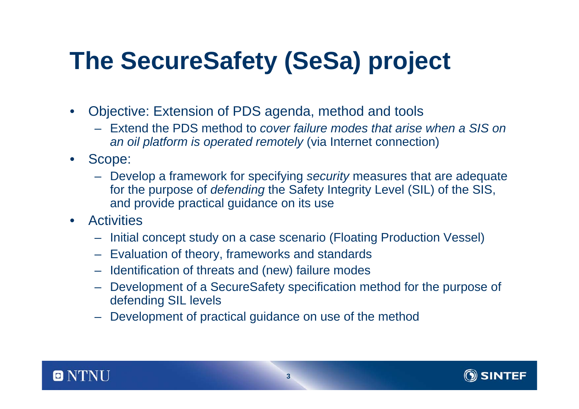# **The SecureSafety (SeSa) project**

- $\bullet$  Objective: Extension of PDS agenda, method and tools
	- Extend the PDS method to *cover failure modes that arise when a SIS onan oil platform is operated remotely* (via Internet connection)
- $\bullet$  Scope:
	- Develop a framework for specifying *security* measures that are adequate for the purpose of *defending* the Safety Integrity Level (SIL) of the SIS, and provide practical guidance on its use
- $\bullet$  Activities
	- Initial concept study on a case scenario (Floating Production Vessel)
	- Evaluation of theory, frameworks and standards
	- Identification of threats and (new) failure modes
	- – Development of a SecureSafety specification method for the purpose of defending SIL levels
	- Development of practical guidance on use of the method



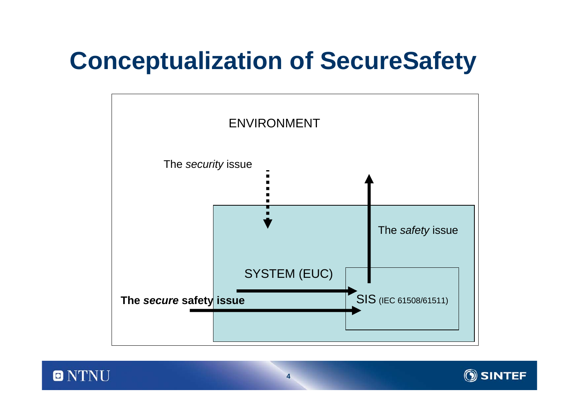# **Conceptualization of SecureSafety**





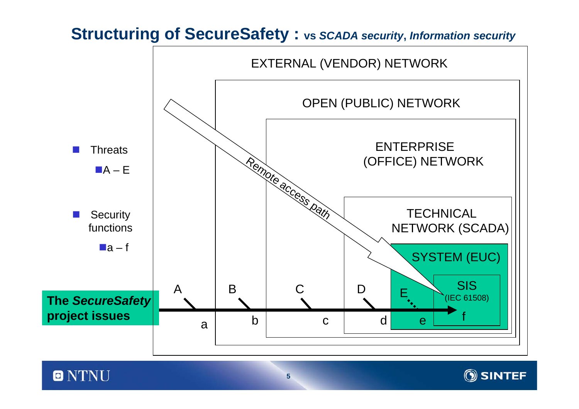#### **Structuring of SecureSafety : vs** *SCADA security***,** *Information security*



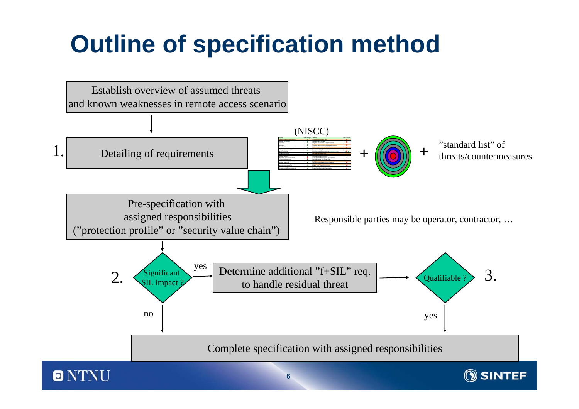# **Outline of specification method**

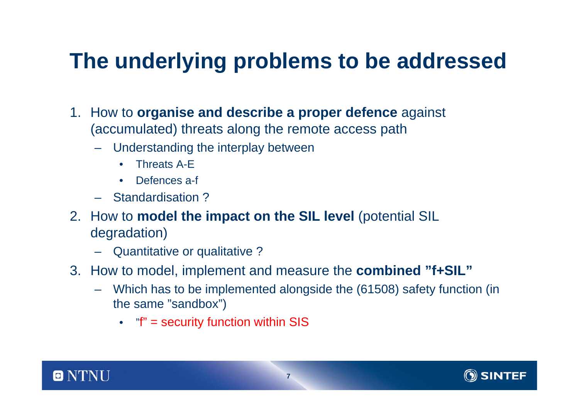## **The underlying problems to be addressed**

- 1. How to **organise and describe a proper defence** against (accumulated) threats along the remote access path
	- Understanding the interplay between
		- $\bullet$ Threats A-E
		- $\bullet$ Defences a-f
	- Standardisation ?
- 2. How to **model the impact on the SIL level** (potential SIL degradation)
	- Quantitative or qualitative ?
- 3. How to model, implement and measure the **combined "f+SIL"**
	- Which has to be implemented alongside the (61508) safety function (in the same "sandbox")
		- "f" = security function within SIS



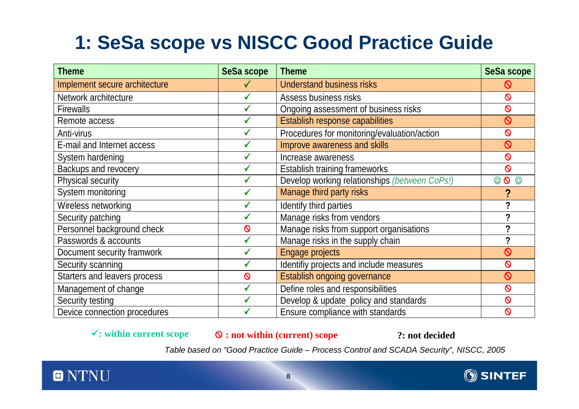#### **1: SeSa scope vs NISCC Good Practice Guide**

| <b>Theme</b>                  | <b>SeSa scope</b> | <b>Theme</b>                                  | <b>SeSa scope</b>       |
|-------------------------------|-------------------|-----------------------------------------------|-------------------------|
| Implement secure architecture |                   | <b>Understand business risks</b>              | Ø                       |
| Network architecture          | $\checkmark$      | Assess business risks                         | $\mathsf{\Omega}$       |
| <b>Firewalls</b>              |                   | Ongoing assessment of business risks          | $\mathsf{\Omega}$       |
| Remote access                 | $\checkmark$      | Establish response capabilities               | $\mathsf{Q}$            |
| Anti-virus                    |                   | Procedures for monitoring/evaluation/action   | $\mathsf{\Omega}$       |
| E-mail and Internet access    |                   | Improve awareness and skills                  | $\overline{\mathsf{Q}}$ |
| System hardening              |                   | Increase awareness                            | $\mathsf{\Omega}$       |
| <b>Backups and revocery</b>   |                   | Establish training frameworks                 | $\mathsf{\Omega}$       |
| <b>Physical security</b>      |                   | Develop working relationships (between CoPs!) | $\circ$<br>☺<br>$\odot$ |
| System monitoring             | $\checkmark$      | Manage third party risks                      | ?                       |
| Wireless networking           | $\checkmark$      | Identify third parties                        |                         |
| Security patching             | $\checkmark$      | Manage risks from vendors                     | 2                       |
| Personnel background check    | $\mathsf{Q}$      | Manage risks from support organisations       | ?                       |
| Passwords & accounts          | $\checkmark$      | Manage risks in the supply chain              | ?                       |
| Document security framwork    |                   | Engage projects                               | $\mathsf{Q}$            |
| Security scanning             |                   | Identifiy projects and include measures       | $\mathsf{\Omega}$       |
| Starters and leavers process  | $\mathsf{\Omega}$ | Establish ongoing governance                  | $\mathsf{Q}$            |
| Management of change          | $\checkmark$      | Define roles and responsibilities             | $\mathsf{\Omega}$       |
| Security testing              |                   | Develop & update policy and standards         | $\mathsf{\Omega}$       |
| Device connection procedures  |                   | Ensure compliance with standards              | $\mathsf{Q}$            |

<sup>9</sup>**: within current scope** ; **: not within (current) scope ?: not decided**

*Table based on "Good Practice Guide – Process Control and SCADA Security", NISCC, 2005*



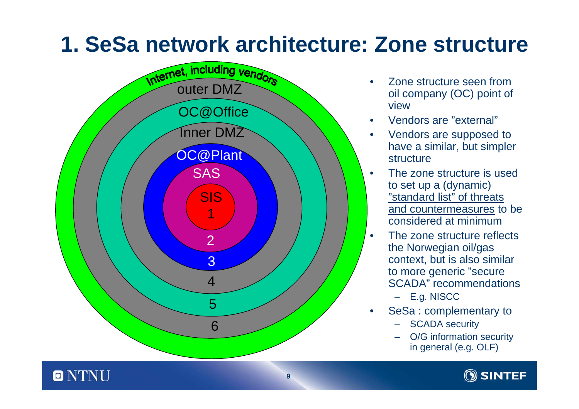## **1. SeSa network architecture: Zone structure**

**9**



o

- • Zone structure seen from oil company (OC) point of view
- •Vendors are "external"
- • Vendors are supposed to have a similar, but simpler structure
- • The zone structure is used to set up a (dynamic) "standard list" of threats and countermeasures to be considered at minimum
	- The zone structure reflectsthe Norwegian oil/gas context, but is also similar to more generic "secure SCADA" recommendations
		- E.g. NISCC

 $\bullet$ 

- • SeSa : complementary to
	- SCADA security
	- O/G information security in general (e.g. OLF)

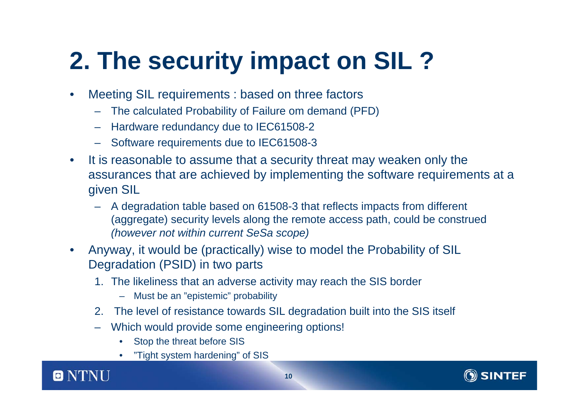# **2. The security impact on SIL ?**

- $\bullet$  Meeting SIL requirements : based on three factors
	- –The calculated Probability of Failure om demand (PFD)
	- –Hardware redundancy due to IEC61508-2
	- –Software requirements due to IEC61508-3
- $\bullet$  It is reasonable to assume that a security threat may weaken only the assurances that are achieved by implementing the software requirements at a given SIL
	- A degradation table based on 61508-3 that reflects impacts from different (aggregate) security levels along the remote access path, could be construed *(however not within current SeSa scope)*
- $\bullet$  Anyway, it would be (practically) wise to model the Probability of SIL Degradation (PSID) in two parts
	- 1. The likeliness that an adverse activity may reach the SIS border
		- –Must be an "epistemic" probability
	- 2. The level of resistance towards SIL degradation built into the SIS itself
	- – Which would provide some engineering options!
		- •Stop the threat before SIS
		- •"Tight system hardening" of SIS



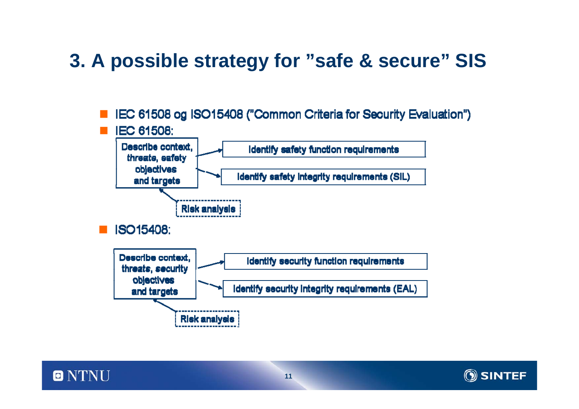#### **3. A possible strategy for "safe & secure" SIS**



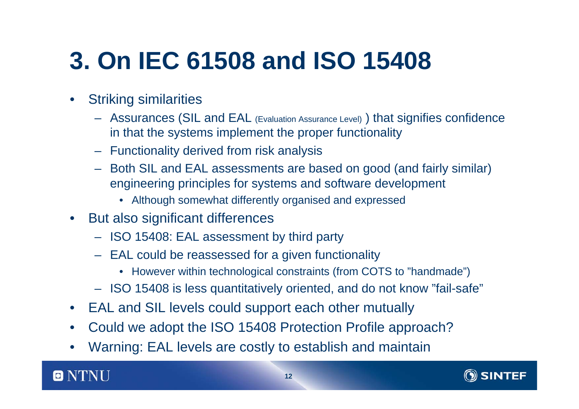# **3. On IEC 61508 and ISO 15408**

- • Striking similarities
	- Assurances (SIL and EAL (Evaluation Assurance Level) ) that signifies confidence in that the systems implement the proper functionality
	- Functionality derived from risk analysis
	- Both SIL and EAL assessments are based on good (and fairly similar) engineering principles for systems and software development
		- Although somewhat differently organised and expressed
- $\bullet$  But also significant differences
	- ISO 15408: EAL assessment by third party
	- EAL could be reassessed for a given functionality
		- However within technological constraints (from COTS to "handmade")
	- ISO 15408 is less quantitatively oriented, and do not know "fail-safe"
- •EAL and SIL levels could support each other mutually
- •Could we adopt the ISO 15408 Protection Profile approach?
- •Warning: EAL levels are costly to establish and maintain

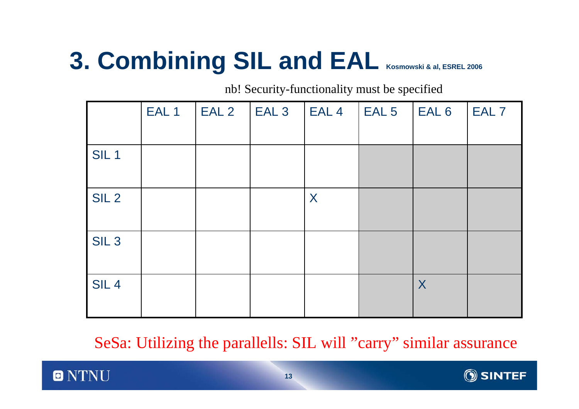# **3. Combining SIL and EAL Kosmowski & al, ESREL 2006**

nb! Security-functionality must be specified

|                  | EAL <sub>1</sub> | EAL <sub>2</sub> | EAL <sub>3</sub> | EAL <sub>4</sub> | EAL <sub>5</sub> | EAL <sub>6</sub> | EAL <sub>7</sub> |
|------------------|------------------|------------------|------------------|------------------|------------------|------------------|------------------|
| SIL <sub>1</sub> |                  |                  |                  |                  |                  |                  |                  |
| SIL <sub>2</sub> |                  |                  |                  | X                |                  |                  |                  |
| SIL <sub>3</sub> |                  |                  |                  |                  |                  |                  |                  |
| SIL <sub>4</sub> |                  |                  |                  |                  |                  | $\boldsymbol{X}$ |                  |

SeSa: Utilizing the parallells: SIL will "carry" similar assurance



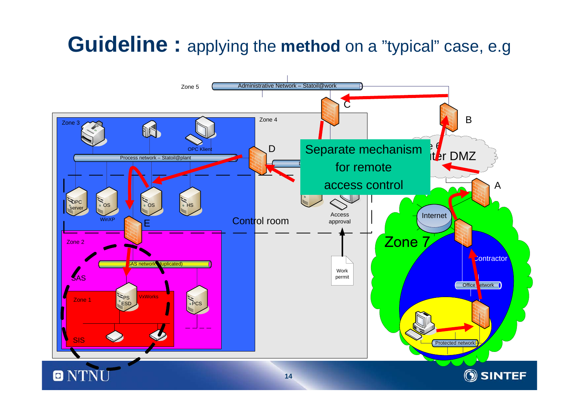## **Guideline :** applying the **method** on <sup>a</sup>"typical" case, e.g

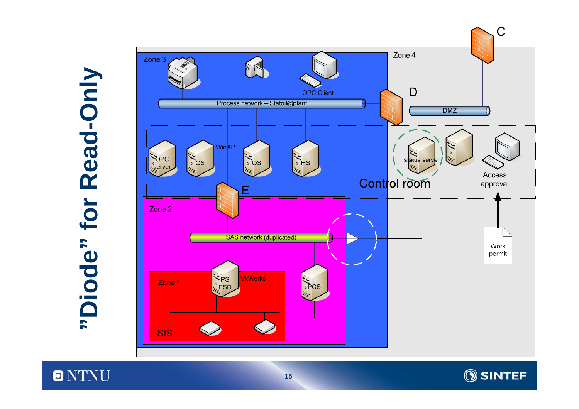**O** NTNU